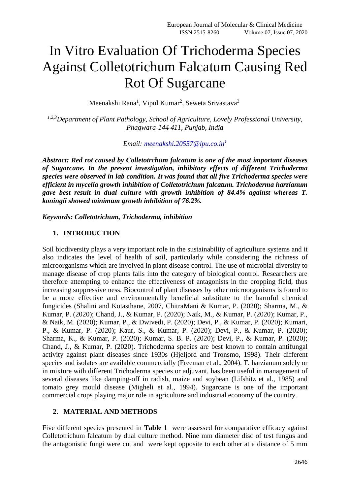# In Vitro Evaluation Of Trichoderma Species Against Colletotrichum Falcatum Causing Red Rot Of Sugarcane

Meenakshi Rana<sup>1</sup>, Vipul Kumar<sup>2</sup>, Seweta Srivastava<sup>3</sup>

*1,2,3Department of Plant Pathology, School of Agriculture, Lovely Professional University, Phagwara-144 411, Punjab, India*

#### *Email: [meenakshi.20557@lpu.co.in](mailto:meenakshi.20557@lpu.co.in1)<sup>1</sup>*

*Abstract: Red rot caused by Colletotrchum falcatum is one of the most important diseases of Sugarcane. In the present investigation, inhibitory effects of different Trichoderma species were observed in lab condition. It was found that all five Trichoderma species were efficient in mycelia growth inhibition of Colletotrichum falcatum. Trichoderma harzianum gave best result in dual culture with growth inhibition of 84.4% against whereas T. koningii showed minimum growth inhibition of 76.2%.* 

*Keywords: Colletotrichum, Trichoderma, inhibition*

## **1. INTRODUCTION**

Soil biodiversity plays a very important role in the sustainability of agriculture systems and it also indicates the level of health of soil, particularly while considering the richness of microorganisms which are involved in plant disease control. The use of microbial diversity to manage disease of crop plants falls into the category of biological control. Researchers are therefore attempting to enhance the effectiveness of antagonists in the cropping field, thus increasing suppressive ness. Biocontrol of plant diseases by other microorganisms is found to be a more effective and environmentally beneficial substitute to the harmful chemical fungicides (Shalini and Kotasthane, 2007, ChitraMani & Kumar, P. (2020); Sharma, M., & Kumar, P. (2020); Chand, J., & Kumar, P. (2020); Naik, M., & Kumar, P. (2020); Kumar, P., & Naik, M. (2020); Kumar, P., & Dwivedi, P. (2020); Devi, P., & Kumar, P. (2020); Kumari, P., & Kumar, P. (2020); Kaur, S., & Kumar, P. (2020); Devi, P., & Kumar, P. (2020); Sharma, K., & Kumar, P. (2020); Kumar, S. B. P. (2020); Devi, P., & Kumar, P. (2020); Chand, J., & Kumar, P. (2020). Trichoderma species are best known to contain antifungal activity against plant diseases since 1930s (Hjeljord and Tronsmo, 1998). Their different species and isolates are available commercially (Freeman et al., 2004). T. harzianum solely or in mixture with different Trichoderma species or adjuvant, has been useful in management of several diseases like damping-off in radish, maize and soybean (Lifshitz et al., 1985) and tomato grey mould disease (Migheli et al., 1994). Sugarcane is one of the important commercial crops playing major role in agriculture and industrial economy of the country.

## **2. MATERIAL AND METHODS**

Five different species presented in **Table 1** were assessed for comparative efficacy against Colletotrichum falcatum by dual culture method. Nine mm diameter disc of test fungus and the antagonistic fungi were cut and were kept opposite to each other at a distance of 5 mm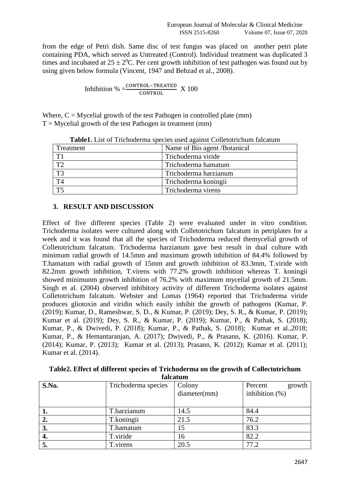from the edge of Petri dish. Same disc of test fungus was placed on another petri plate containing PDA, which served as Untreated (Control). Individual treatment was duplicated 3 times and incubated at  $25 \pm 2^{0}C$ . Per cent growth inhibition of test pathogen was found out by using given below formula (Vincent, 1947 and Behzad et al., 2008).

$$
Inhibition % = \frac{CONTROL - TREATED}{CONTROL} X 100
$$

Where,  $C = M$  y celial growth of the test Pathogen in controlled plate (mm)  $T = M$ ycelial growth of the test Pathogen in treatment (mm)

| <b>radici</b> . East of Thenouerina species used against conciourement rareatum |                              |  |  |
|---------------------------------------------------------------------------------|------------------------------|--|--|
| Treatment                                                                       | Name of Bio agent /Botanical |  |  |
| T1                                                                              | Trichoderma viride           |  |  |
| T <sub>2</sub>                                                                  | Trichoderma hamatum          |  |  |
| T <sub>3</sub>                                                                  | Trichoderma harzianum        |  |  |
| T <sub>4</sub>                                                                  | Trichoderma koningii         |  |  |
| $\overline{TS}$                                                                 | Trichoderma virens           |  |  |

| Table1. List of Trichoderma species used against Colletotrichum falcatum |  |  |
|--------------------------------------------------------------------------|--|--|
|--------------------------------------------------------------------------|--|--|

#### **3. RESULT AND DISCUSSION**

Effect of five different species (Table 2) were evaluated under in vitro condition. Trichoderma isolates were cultured along with Colletotrichum falcatum in petriplates for a week and it was found that all the species of Trichoderma reduced themycelial growth of Colletotrichum falcatum. Trichoderma harzianum gave best result in dual culture with minimum radial growth of 14.5mm and maximum growth inhibition of 84.4% followed by T.hamatum with radial growth of 15mm and growth inhibition of 83.3mm, T.viride with 82.2mm growth inhibition, T.virens with 77.2% growth inhibition whereas T. koningii showed minimunm growth inhibition of 76.2% with maximum mycelial growth of 21.5mm. Singh et al. (2004) observed inhibitory activity of different Trichoderma isolates against Colletotrichum falcatum. Webster and Lomas (1964) reported that Trichoderma viride produces gliotoxin and viridin which easily inhibit the growth of pathogens (Kumar, P. (2019); Kumar, D., Rameshwar, S. D., & Kumar, P. (2019); Dey, S. R., & Kumar, P. (2019); Kumar et al. (2019); Dey, S. R., & Kumar, P. (2019); Kumar, P., & Pathak, S. (2018); Kumar, P., & Dwivedi, P. (2018); Kumar, P., & Pathak, S. (2018); Kumar et al.,2018; Kumar, P., & Hemantaranjan, A. (2017); Dwivedi, P., & Prasann, K. (2016). Kumar, P. (2014); Kumar, P. (2013); Kumar et al. (2013); Prasann, K. (2012); Kumar et al. (2011); Kumar et al. (2014).

**Table2. Effect of different species of Trichoderma on the growth of Collectotrichum falcatum**

| S.No. | Trichoderma species | Colony       | Percent<br>growth |
|-------|---------------------|--------------|-------------------|
|       |                     | diameter(mm) | inhibition $(\%)$ |
|       |                     |              |                   |
| ı.    | T.harzianum         | 14.5         | 84.4              |
| 2.    | T.koningii          | 21.5         | 76.2              |
| 3.    | T.hamatum           |              | 83.3              |
| 4.    | T.viride            | 16           | 82.2              |
| 5.    | T.virens            | 20.5         | 77.2              |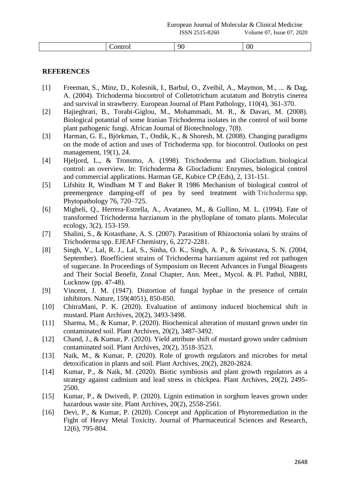|  |  | $ -$ |  |
|--|--|------|--|
|--|--|------|--|

# **REFERENCES**

- [1] Freeman, S., Minz, D., Kolesnik, I., Barbul, O., Zveibil, A., Maymon, M., ... & Dag, A. (2004). Trichoderma biocontrol of Colletotrichum acutatum and Botrytis cinerea and survival in strawberry. European Journal of Plant Pathology, 110(4), 361-370.
- [2] Hajieghrari, B., Torabi-Giglou, M., Mohammadi, M. R., & Davari, M. (2008). Biological potantial of some Iranian Trichoderma isolates in the control of soil borne plant pathogenic fungi. African Journal of Biotechnology, 7(8).
- [3] Harman, G. E., Björkman, T., Ondik, K., & Shoresh, M. (2008). Changing paradigms on the mode of action and uses of Trichoderma spp. for biocontrol. Outlooks on pest management, 19(1), 24.
- [4] Hjeljord, L., & Tronsmo, A. (1998). Trichoderma and Gliocladium. biological control: an overview. In: Trichoderma & Gliocladium: Enzymes, biological control and commercial applications. Harman GE, Kubice CP.(Eds), 2, 131-151.
- [5] Lifshitz R, Windham M T and Baker R 1986 Mechanism of biological control of preemergence damping-off of pea by seed treatment with Trichoderma spp. Phytopathology 76, 720–725.
- [6] Migheli, Q., Herrera‐Estrella, A., Avataneo, M., & Gullino, M. L. (1994). Fate of transformed Trichoderma harzianum in the phylloplane of tomato plants. Molecular ecology, 3(2), 153-159.
- [7] Shalini, S., & Kotasthane, A. S. (2007). Parasitism of Rhizoctonia solani by strains of Trichoderma spp. EJEAF Chemistry, 6, 2272-2281.
- [8] Singh, V., Lal, R. J., Lal, S., Sinha, O. K., Singh, A. P., & Srivastava, S. N. (2004, September). Bioefficient strains of Trichoderma harzianum against red rot pathogen of sugarcane. In Proceedings of Symposium on Recent Advances in Fungal Bioagents and Their Social Benefit, Zonal Chapter, Ann. Meet., Mycol. & Pl. Pathol, NBRI, Lucknow (pp. 47-48).
- [9] Vincent, J. M. (1947). Distortion of fungal hyphae in the presence of certain inhibitors. Nature, 159(4051), 850-850.
- [10] ChitraMani, P. K. (2020). Evaluation of antimony induced biochemical shift in mustard. Plant Archives, 20(2), 3493-3498.
- [11] Sharma, M., & Kumar, P. (2020). Biochemical alteration of mustard grown under tin contaminated soil. Plant Archives, 20(2), 3487-3492.
- [12] Chand, J., & Kumar, P. (2020). Yield attribute shift of mustard grown under cadmium contaminated soil. Plant Archives, 20(2), 3518-3523.
- [13] Naik, M., & Kumar, P. (2020). Role of growth regulators and microbes for metal detoxification in plants and soil. Plant Archives, 20(2), 2820-2824.
- [14] Kumar, P., & Naik, M. (2020). Biotic symbiosis and plant growth regulators as a strategy against cadmium and lead stress in chickpea. Plant Archives, 20(2), 2495- 2500.
- [15] Kumar, P., & Dwivedi, P. (2020). Lignin estimation in sorghum leaves grown under hazardous waste site. Plant Archives, 20(2), 2558-2561.
- [16] Devi, P., & Kumar, P. (2020). Concept and Application of Phytoremediation in the Fight of Heavy Metal Toxicity. Journal of Pharmaceutical Sciences and Research, 12(6), 795-804.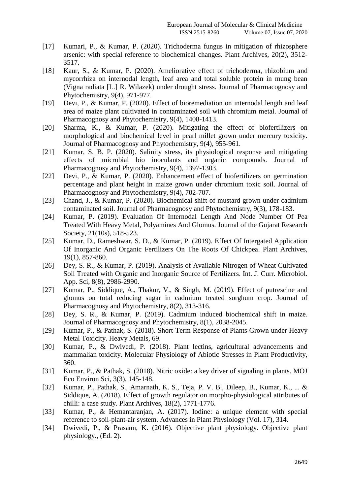- [17] Kumari, P., & Kumar, P. (2020). Trichoderma fungus in mitigation of rhizosphere arsenic: with special reference to biochemical changes. Plant Archives, 20(2), 3512- 3517.
- [18] Kaur, S., & Kumar, P. (2020). Ameliorative effect of trichoderma, rhizobium and mycorrhiza on internodal length, leaf area and total soluble protein in mung bean (Vigna radiata [L.] R. Wilazek) under drought stress. Journal of Pharmacognosy and Phytochemistry, 9(4), 971-977.
- [19] Devi, P., & Kumar, P. (2020). Effect of bioremediation on internodal length and leaf area of maize plant cultivated in contaminated soil with chromium metal. Journal of Pharmacognosy and Phytochemistry, 9(4), 1408-1413.
- [20] Sharma, K., & Kumar, P. (2020). Mitigating the effect of biofertilizers on morphological and biochemical level in pearl millet grown under mercury toxicity. Journal of Pharmacognosy and Phytochemistry, 9(4), 955-961.
- [21] Kumar, S. B. P. (2020). Salinity stress, its physiological response and mitigating effects of microbial bio inoculants and organic compounds. Journal of Pharmacognosy and Phytochemistry, 9(4), 1397-1303.
- [22] Devi, P., & Kumar, P. (2020). Enhancement effect of biofertilizers on germination percentage and plant height in maize grown under chromium toxic soil. Journal of Pharmacognosy and Phytochemistry, 9(4), 702-707.
- [23] Chand, J., & Kumar, P. (2020). Biochemical shift of mustard grown under cadmium contaminated soil. Journal of Pharmacognosy and Phytochemistry, 9(3), 178-183.
- [24] Kumar, P. (2019). Evaluation Of Internodal Length And Node Number Of Pea Treated With Heavy Metal, Polyamines And Glomus. Journal of the Gujarat Research Society, 21(10s), 518-523.
- [25] Kumar, D., Rameshwar, S. D., & Kumar, P. (2019). Effect Of Intergated Application Of Inorganic And Organic Fertilizers On The Roots Of Chickpea. Plant Archives, 19(1), 857-860.
- [26] Dey, S. R., & Kumar, P. (2019). Analysis of Available Nitrogen of Wheat Cultivated Soil Treated with Organic and Inorganic Source of Fertilizers. Int. J. Curr. Microbiol. App. Sci, 8(8), 2986-2990.
- [27] Kumar, P., Siddique, A., Thakur, V., & Singh, M. (2019). Effect of putrescine and glomus on total reducing sugar in cadmium treated sorghum crop. Journal of Pharmacognosy and Phytochemistry, 8(2), 313-316.
- [28] Dey, S. R., & Kumar, P. (2019). Cadmium induced biochemical shift in maize. Journal of Pharmacognosy and Phytochemistry, 8(1), 2038-2045.
- [29] Kumar, P., & Pathak, S. (2018). Short-Term Response of Plants Grown under Heavy Metal Toxicity. Heavy Metals, 69.
- [30] Kumar, P., & Dwivedi, P. (2018). Plant lectins, agricultural advancements and mammalian toxicity. Molecular Physiology of Abiotic Stresses in Plant Productivity, 360.
- [31] Kumar, P., & Pathak, S. (2018). Nitric oxide: a key driver of signaling in plants. MOJ Eco Environ Sci, 3(3), 145-148.
- [32] Kumar, P., Pathak, S., Amarnath, K. S., Teja, P. V. B., Dileep, B., Kumar, K., ... & Siddique, A. (2018). Effect of growth regulator on morpho-physiological attributes of chilli: a case study. Plant Archives, 18(2), 1771-1776.
- [33] Kumar, P., & Hemantaranjan, A. (2017). Iodine: a unique element with special reference to soil-plant-air system. Advances in Plant Physiology (Vol. 17), 314.
- [34] Dwivedi, P., & Prasann, K. (2016). Objective plant physiology. Objective plant physiology., (Ed. 2).